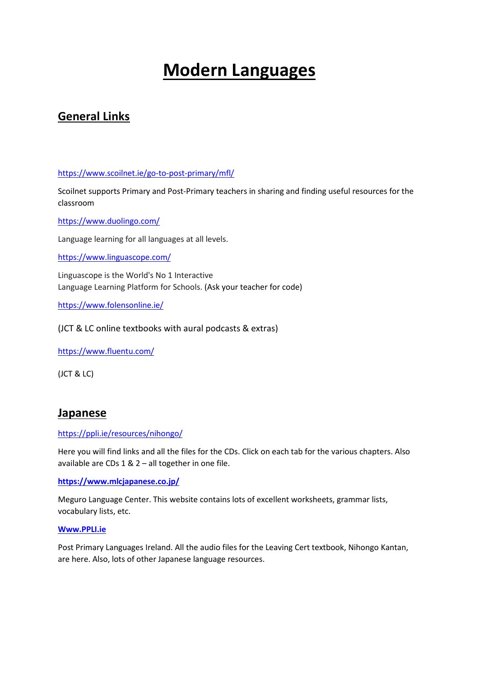# **Modern Languages**

# **General Links**

<https://www.scoilnet.ie/go-to-post-primary/mfl/>

Scoilnet supports Primary and Post-Primary teachers in sharing and finding useful resources for the classroom

<https://www.duolingo.com/>

Language learning for all languages at all levels.

<https://www.linguascope.com/>

Linguascope is the World's No 1 Interactive Language Learning Platform for Schools. (Ask your teacher for code)

<https://www.folensonline.ie/>

(JCT & LC online textbooks with aural podcasts & extras)

<https://www.fluentu.com/>

(JCT & LC)

### **Japanese**

#### <https://ppli.ie/resources/nihongo/>

Here you will find links and all the files for the CDs. Click on each tab for the various chapters. Also available are CDs 1 & 2 – all together in one file.

**<https://www.mlcjapanese.co.jp/>**

Meguro Language Center. This website contains lots of excellent worksheets, grammar lists, vocabulary lists, etc.

#### **[Www.PPLI.ie](http://www.ppli.ie/)**

Post Primary Languages Ireland. All the audio files for the Leaving Cert textbook, Nihongo Kantan, are here. Also, lots of other Japanese language resources.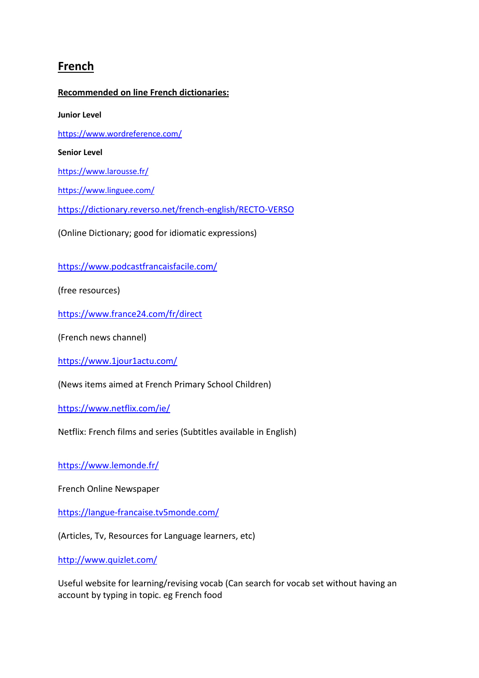# **French**

#### **Recommended on line French dictionaries:**

**Junior Level**

<https://www.wordreference.com/>

**Senior Level**

<https://www.larousse.fr/>

<https://www.linguee.com/>

<https://dictionary.reverso.net/french-english/RECTO-VERSO>

(Online Dictionary; good for idiomatic expressions)

<https://www.podcastfrancaisfacile.com/>

(free resources)

<https://www.france24.com/fr/direct>

(French news channel)

<https://www.1jour1actu.com/>

(News items aimed at French Primary School Children)

<https://www.netflix.com/ie/>

Netflix: French films and series (Subtitles available in English)

<https://www.lemonde.fr/>

French Online Newspaper

<https://langue-francaise.tv5monde.com/>

(Articles, Tv, Resources for Language learners, etc)

<http://www.quizlet.com/>

Useful website for learning/revising vocab (Can search for vocab set without having an account by typing in topic. eg French food